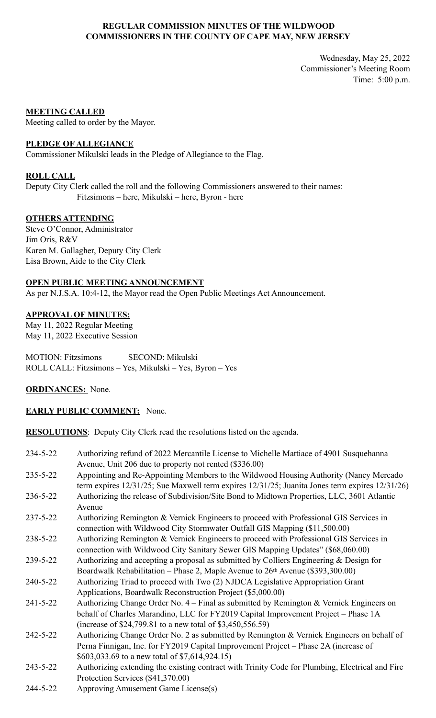## **REGULAR COMMISSION MINUTES OF THE WILDWOOD COMMISSIONERS IN THE COUNTY OF CAPE MAY, NEW JERSEY**

Wednesday, May 25, 2022 Commissioner's Meeting Room Time: 5:00 p.m.

### **MEETING CALLED**

Meeting called to order by the Mayor.

## **PLEDGE OF ALLEGIANCE**

Commissioner Mikulski leads in the Pledge of Allegiance to the Flag.

## **ROLL CALL**

Deputy City Clerk called the roll and the following Commissioners answered to their names: Fitzsimons – here, Mikulski – here, Byron - here

## **OTHERS ATTENDING**

Steve O'Connor, Administrator Jim Oris, R&V Karen M. Gallagher, Deputy City Clerk Lisa Brown, Aide to the City Clerk

## **OPEN PUBLIC MEETING ANNOUNCEMENT**

As per N.J.S.A. 10:4-12, the Mayor read the Open Public Meetings Act Announcement.

# **APPROVAL OF MINUTES:**

May 11, 2022 Regular Meeting May 11, 2022 Executive Session

MOTION: Fitzsimons SECOND: Mikulski ROLL CALL: Fitzsimons – Yes, Mikulski – Yes, Byron – Yes

#### **ORDINANCES:** None.

### **EARLY PUBLIC COMMENT:** None.

**RESOLUTIONS**: Deputy City Clerk read the resolutions listed on the agenda.

| 234-5-22       | Authorizing refund of 2022 Mercantile License to Michelle Mattiace of 4901 Susquehanna         |
|----------------|------------------------------------------------------------------------------------------------|
|                | Avenue, Unit 206 due to property not rented (\$336.00)                                         |
| $235 - 5 - 22$ | Appointing and Re-Appointing Members to the Wildwood Housing Authority (Nancy Mercado          |
|                |                                                                                                |
|                | term expires 12/31/25; Sue Maxwell term expires 12/31/25; Juanita Jones term expires 12/31/26) |
| 236-5-22       | Authorizing the release of Subdivision/Site Bond to Midtown Properties, LLC, 3601 Atlantic     |
|                | Avenue                                                                                         |
| $237 - 5 - 22$ | Authorizing Remington & Vernick Engineers to proceed with Professional GIS Services in         |
|                | connection with Wildwood City Stormwater Outfall GIS Mapping (\$11,500.00)                     |
| 238-5-22       | Authorizing Remington & Vernick Engineers to proceed with Professional GIS Services in         |
|                | connection with Wildwood City Sanitary Sewer GIS Mapping Updates" (\$68,060.00)                |
| 239-5-22       | Authorizing and accepting a proposal as submitted by Colliers Engineering & Design for         |
|                | Boardwalk Rehabilitation – Phase 2, Maple Avenue to $26th$ Avenue (\$393,300.00)               |
| $240 - 5 - 22$ | Authorizing Triad to proceed with Two (2) NJDCA Legislative Appropriation Grant                |
|                | Applications, Boardwalk Reconstruction Project (\$5,000.00)                                    |
| $241 - 5 - 22$ | Authorizing Change Order No. $4$ – Final as submitted by Remington & Vernick Engineers on      |
|                | behalf of Charles Marandino, LLC for FY2019 Capital Improvement Project - Phase 1A             |

- (increase of \$24,799.81 to a new total of \$3,450,556.59)
- 242-5-22 Authorizing Change Order No. 2 as submitted by Remington & Vernick Engineers on behalf of Perna Finnigan, Inc. for FY2019 Capital Improvement Project – Phase 2A (increase of \$603,033.69 to a new total of \$7,614,924.15)
- 243-5-22 Authorizing extending the existing contract with Trinity Code for Plumbing, Electrical and Fire Protection Services (\$41,370.00)
- 244-5-22 Approving Amusement Game License(s)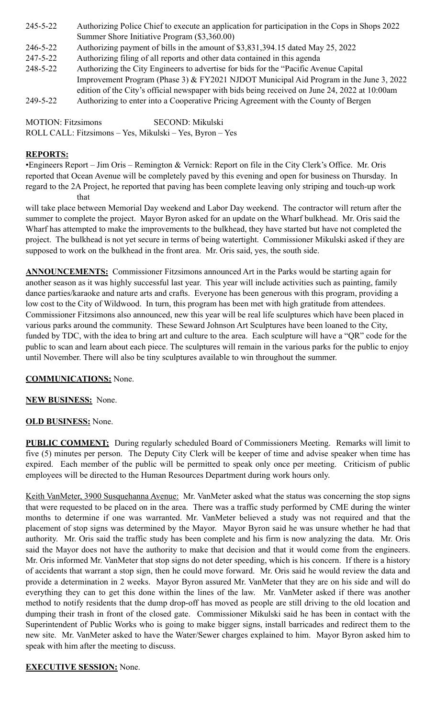- 245-5-22 Authorizing Police Chief to execute an application for participation in the Cops in Shops 2022 Summer Shore Initiative Program (\$3,360.00)
- 246-5-22 Authorizing payment of bills in the amount of \$3,831,394.15 dated May 25, 2022
- 247-5-22 Authorizing filing of all reports and other data contained in this agenda
- 248-5-22 Authorizing the City Engineers to advertise for bids for the "Pacific Avenue Capital Improvement Program (Phase 3) & FY2021 NJDOT Municipal Aid Program in the June 3, 2022 edition of the City's official newspaper with bids being received on June 24, 2022 at 10:00am
- 249-5-22 Authorizing to enter into a Cooperative Pricing Agreement with the County of Bergen

MOTION: Fitzsimons SECOND: Mikulski ROLL CALL: Fitzsimons – Yes, Mikulski – Yes, Byron – Yes

# **REPORTS:**

•Engineers Report – Jim Oris – Remington & Vernick: Report on file in the City Clerk's Office. Mr. Oris reported that Ocean Avenue will be completely paved by this evening and open for business on Thursday. In regard to the 2A Project, he reported that paving has been complete leaving only striping and touch-up work that

will take place between Memorial Day weekend and Labor Day weekend. The contractor will return after the summer to complete the project. Mayor Byron asked for an update on the Wharf bulkhead. Mr. Oris said the Wharf has attempted to make the improvements to the bulkhead, they have started but have not completed the project. The bulkhead is not yet secure in terms of being watertight. Commissioner Mikulski asked if they are supposed to work on the bulkhead in the front area. Mr. Oris said, yes, the south side.

**ANNOUNCEMENTS:** Commissioner Fitzsimons announced Art in the Parks would be starting again for another season as it was highly successful last year. This year will include activities such as painting, family dance parties/karaoke and nature arts and crafts. Everyone has been generous with this program, providing a low cost to the City of Wildwood. In turn, this program has been met with high gratitude from attendees. Commissioner Fitzsimons also announced, new this year will be real life sculptures which have been placed in various parks around the community. These Seward Johnson Art Sculptures have been loaned to the City, funded by TDC, with the idea to bring art and culture to the area. Each sculpture will have a "QR" code for the public to scan and learn about each piece. The sculptures will remain in the various parks for the public to enjoy until November. There will also be tiny sculptures available to win throughout the summer.

# **COMMUNICATIONS:** None.

# **NEW BUSINESS:** None.

# **OLD BUSINESS:** None.

**PUBLIC COMMENT:** During regularly scheduled Board of Commissioners Meeting. Remarks will limit to five (5) minutes per person. The Deputy City Clerk will be keeper of time and advise speaker when time has expired. Each member of the public will be permitted to speak only once per meeting. Criticism of public employees will be directed to the Human Resources Department during work hours only.

Keith VanMeter, 3900 Susquehanna Avenue: Mr. VanMeter asked what the status was concerning the stop signs that were requested to be placed on in the area. There was a traffic study performed by CME during the winter months to determine if one was warranted. Mr. VanMeter believed a study was not required and that the placement of stop signs was determined by the Mayor. Mayor Byron said he was unsure whether he had that authority. Mr. Oris said the traffic study has been complete and his firm is now analyzing the data. Mr. Oris said the Mayor does not have the authority to make that decision and that it would come from the engineers. Mr. Oris informed Mr. VanMeter that stop signs do not deter speeding, which is his concern. If there is a history of accidents that warrant a stop sign, then he could move forward. Mr. Oris said he would review the data and provide a determination in 2 weeks. Mayor Byron assured Mr. VanMeter that they are on his side and will do everything they can to get this done within the lines of the law. Mr. VanMeter asked if there was another method to notify residents that the dump drop-off has moved as people are still driving to the old location and dumping their trash in front of the closed gate. Commissioner Mikulski said he has been in contact with the Superintendent of Public Works who is going to make bigger signs, install barricades and redirect them to the new site. Mr. VanMeter asked to have the Water/Sewer charges explained to him. Mayor Byron asked him to speak with him after the meeting to discuss.

# **EXECUTIVE SESSION:** None.